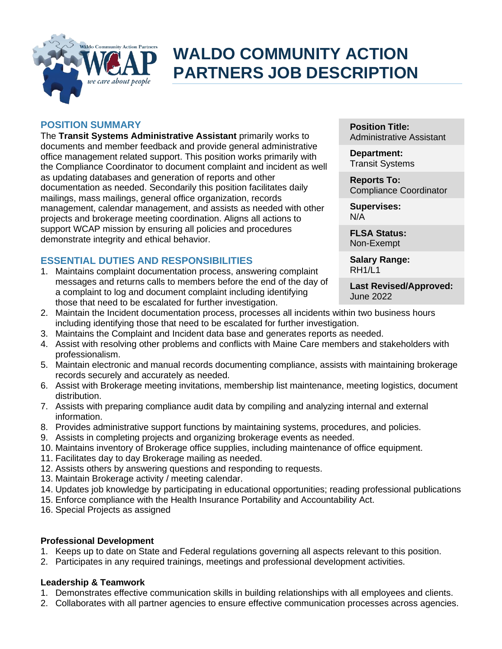

# **WALDO COMMUNITY ACTION PARTNERS JOB DESCRIPTION**

## **POSITION SUMMARY**

The **Transit Systems Administrative Assistant** primarily works to documents and member feedback and provide general administrative office management related support. This position works primarily with the Compliance Coordinator to document complaint and incident as well as updating databases and generation of reports and other documentation as needed. Secondarily this position facilitates daily mailings, mass mailings, general office organization, records management, calendar management, and assists as needed with other projects and brokerage meeting coordination. Aligns all actions to support WCAP mission by ensuring all policies and procedures demonstrate integrity and ethical behavior.

## **ESSENTIAL DUTIES AND RESPONSIBILITIES**

1. Maintains complaint documentation process, answering complaint messages and returns calls to members before the end of the day of a complaint to log and document complaint including identifying those that need to be escalated for further investigation.

**Position Title:** Administrative Assistant

**Department:** Transit Systems

**Reports To:** Compliance Coordinator

**Supervises:** N/A

**FLSA Status:** Non-Exempt

**Salary Range:** RH1/L1

**Last Revised/Approved:** June 2022

- 2. Maintain the Incident documentation process, processes all incidents within two business hours including identifying those that need to be escalated for further investigation.
- 3. Maintains the Complaint and Incident data base and generates reports as needed.
- 4. Assist with resolving other problems and conflicts with Maine Care members and stakeholders with professionalism.
- 5. Maintain electronic and manual records documenting compliance, assists with maintaining brokerage records securely and accurately as needed.
- 6. Assist with Brokerage meeting invitations, membership list maintenance, meeting logistics, document distribution.
- 7. Assists with preparing compliance audit data by compiling and analyzing internal and external information.
- 8. Provides administrative support functions by maintaining systems, procedures, and policies.
- 9. Assists in completing projects and organizing brokerage events as needed.
- 10. Maintains inventory of Brokerage office supplies, including maintenance of office equipment.
- 11. Facilitates day to day Brokerage mailing as needed.
- 12. Assists others by answering questions and responding to requests.
- 13. Maintain Brokerage activity / meeting calendar.
- 14. Updates job knowledge by participating in educational opportunities; reading professional publications
- 15. Enforce compliance with the Health Insurance Portability and Accountability Act.
- 16. Special Projects as assigned

## **Professional Development**

- 1. Keeps up to date on State and Federal regulations governing all aspects relevant to this position.
- 2. Participates in any required trainings, meetings and professional development activities.

## **Leadership & Teamwork**

- 1. Demonstrates effective communication skills in building relationships with all employees and clients.
- 2. Collaborates with all partner agencies to ensure effective communication processes across agencies.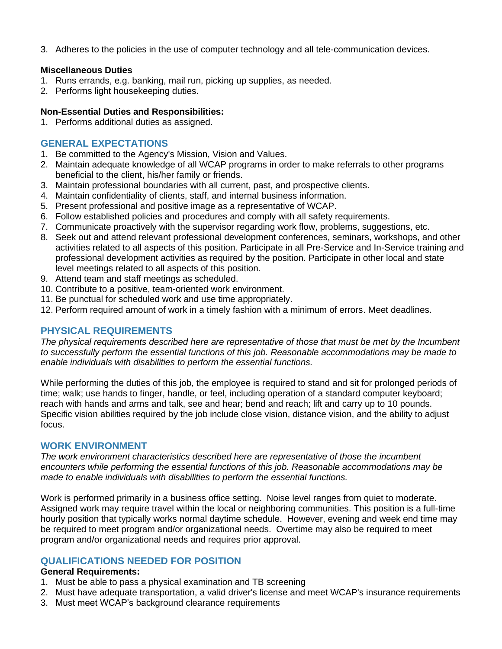3. Adheres to the policies in the use of computer technology and all tele-communication devices.

#### **Miscellaneous Duties**

- 1. Runs errands, e.g. banking, mail run, picking up supplies, as needed.
- 2. Performs light housekeeping duties.

## **Non-Essential Duties and Responsibilities:**

1. Performs additional duties as assigned.

# **GENERAL EXPECTATIONS**

- 1. Be committed to the Agency's Mission, Vision and Values.
- 2. Maintain adequate knowledge of all WCAP programs in order to make referrals to other programs beneficial to the client, his/her family or friends.
- 3. Maintain professional boundaries with all current, past, and prospective clients.
- 4. Maintain confidentiality of clients, staff, and internal business information.
- 5. Present professional and positive image as a representative of WCAP.
- 6. Follow established policies and procedures and comply with all safety requirements.
- 7. Communicate proactively with the supervisor regarding work flow, problems, suggestions, etc.
- 8. Seek out and attend relevant professional development conferences, seminars, workshops, and other activities related to all aspects of this position. Participate in all Pre-Service and In-Service training and professional development activities as required by the position. Participate in other local and state level meetings related to all aspects of this position.
- 9. Attend team and staff meetings as scheduled.
- 10. Contribute to a positive, team-oriented work environment.
- 11. Be punctual for scheduled work and use time appropriately.
- 12. Perform required amount of work in a timely fashion with a minimum of errors. Meet deadlines.

## **PHYSICAL REQUIREMENTS**

*The physical requirements described here are representative of those that must be met by the Incumbent to successfully perform the essential functions of this job. Reasonable accommodations may be made to enable individuals with disabilities to perform the essential functions.*

While performing the duties of this job, the employee is required to stand and sit for prolonged periods of time; walk; use hands to finger, handle, or feel, including operation of a standard computer keyboard; reach with hands and arms and talk, see and hear; bend and reach; lift and carry up to 10 pounds. Specific vision abilities required by the job include close vision, distance vision, and the ability to adjust focus.

## **WORK ENVIRONMENT**

*The work environment characteristics described here are representative of those the incumbent encounters while performing the essential functions of this job. Reasonable accommodations may be made to enable individuals with disabilities to perform the essential functions.* 

Work is performed primarily in a business office setting. Noise level ranges from quiet to moderate. Assigned work may require travel within the local or neighboring communities. This position is a full-time hourly position that typically works normal daytime schedule. However, evening and week end time may be required to meet program and/or organizational needs. Overtime may also be required to meet program and/or organizational needs and requires prior approval.

# **QUALIFICATIONS NEEDED FOR POSITION**

## **General Requirements:**

- 1. Must be able to pass a physical examination and TB screening
- 2. Must have adequate transportation, a valid driver's license and meet WCAP's insurance requirements
- 3. Must meet WCAP's background clearance requirements